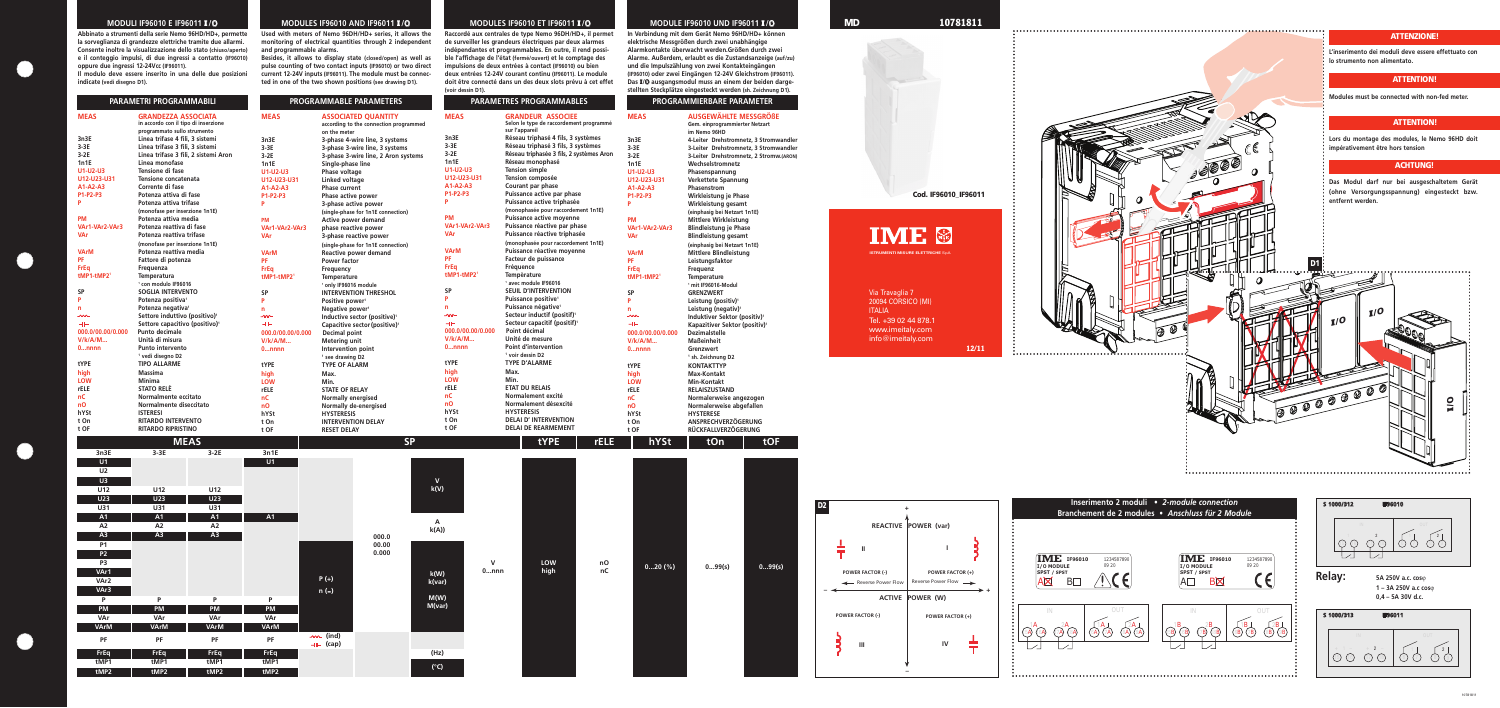

# **MODULI IF96010 E IF96011 I /O MODULES IF96010 AND IF96011 I /O MODULES IF96010 ET IF96011 I /O MODULE IF96010 UND IF96011 I /O**









**Abbinato a strumenti della serie Nemo 96HD/HD+, permette la sorveglianza di grandezze elettriche tramite due allarmi. Consente inoltre la visualizzazione dello stato (chiuso/aperto) e il conteggio impulsi, di due ingressi a contatto (IF96010) oppure due ingressi 12-24Vcc (IF96011).**

 $\Box$ 

 $\begin{bmatrix} 1 & 1 \end{bmatrix}$ 

 $\Box$ 

 $\qquad \qquad \bullet$ 

**Il modulo deve essere inserito in una delle due posizioni indicate (vedi disegno D1).**

**Used with meters of Nemo 96DH/HD+ series, it allows the monitoring of electrical quantities through 2 independent and programmable alarms.**

**Besides, it allows to display state (closed/open) as well as pulse counting of two contact inputs (IF96010) or two direct current 12-24V inputs (IF96011). The module must be connected in one of the two shown positions (see drawing D1).**

**Raccordé aux centrales de type Nemo 96DH/HD+, il permet de surveiller les grandeurs électriques par deux alarmes indépendantes et programmables. En outre, il rend possible l'affichage de l'état (fermé/ouvert) et le comptage des impulsions de deux entrées à contact (IF96010) ou bien deux entrées 12-24V courant continu (IF96011). Le module doit être connecté dans un des deux slots prévu à cet effet (voir dessin D1).**

| <b>MEAS</b>       | <b>GRANDEZZA ASSOCIATA</b><br>in accordo con il tipo di inserzione<br>programmato sullo strumento | <b>MEAS</b>       | <b>ASSOCIATED OUANTITY</b><br>according to the connection programmed<br>on the meter | <b>MEAS</b>       | <b>GRANDEUR ASSOCIEE</b><br>Selon le type de raccordement programmé<br>sur l'appareil |             | <b>MEAS</b>       | <b>AUSGEWÄHLTE MESSGRÖßE</b><br>Gem. einprogrammierter Netzart<br>im Nemo 96HD |     |
|-------------------|---------------------------------------------------------------------------------------------------|-------------------|--------------------------------------------------------------------------------------|-------------------|---------------------------------------------------------------------------------------|-------------|-------------------|--------------------------------------------------------------------------------|-----|
| 3n3E              | Linea trifase 4 fili, 3 sistemi                                                                   | 3n3E              | 3-phase 4-wire line, 3 systems                                                       | 3n3E              | Réseau triphasé 4 fils, 3 systèmes                                                    |             | 3n3E              | 4-Leiter Drehstromnetz, 3 Stromwa                                              |     |
| $3-3E$            | Linea trifase 3 fili, 3 sistemi                                                                   | $3-3E$            | 3-phase 3-wire line, 3 systems                                                       | $3-3E$            | Réseau triphasé 3 fils, 3 systèmes                                                    |             | $3-3E$            | 3-Leiter Drehstromnetz, 3 Stromwa                                              |     |
| $3-2E$            | Linea trifase 3 fili, 2 sistemi Aron                                                              | $3-2E$            | 3-phase 3-wire line, 2 Aron systems                                                  | $3-2E$            | Réseau triphasée 3 fils, 2 systèmes Aron                                              |             | $3-2E$            | 3-Leiter Drehstromnetz, 2 Stromw.(                                             |     |
| 1n1E              | Linea monofase                                                                                    | 1n1E              | Single-phase line                                                                    | 1n1E              | Réseau monophasé                                                                      |             | 1n1E              | Wechselstromnetz                                                               |     |
| U1-U2-U3          | Tensione di fase                                                                                  | U1-U2-U3          | Phase voltage                                                                        | U1-U2-U3          | <b>Tension simple</b>                                                                 |             | U1-U2-U3          | Phasenspannung                                                                 |     |
| U12-U23-U31       | Tensione concatenata                                                                              | U12-U23-U31       | Linked voltage                                                                       | U12-U23-U31       | Tension composée                                                                      |             | U12-U23-U31       | Verkettete Spannung                                                            |     |
| A1-A2-A3          | Corrente di fase                                                                                  | A1-A2-A3          | <b>Phase current</b>                                                                 | A1-A2-A3          | Courant par phase                                                                     |             | A1-A2-A3          | Phasenstrom                                                                    |     |
| P1-P2-P3          | Potenza attiva di fase                                                                            | P1-P2-P3          | Phase active power                                                                   | P1-P2-P3          | Puissance active par phase                                                            |             | P1-P2-P3          | Wirkleistung je Phase                                                          |     |
|                   | Potenza attiva trifase                                                                            | D                 | 3-phase active power                                                                 | Þ                 | Puissance active triphasée                                                            |             |                   | Wirkleistung gesamt                                                            |     |
|                   | (monofase per inserzione 1n1E)                                                                    |                   | (single-phase for 1n1E connection)                                                   |                   | (monophasée pour raccordement 1n1E)                                                   |             |                   | (einphasig bei Netzart 1n1E)                                                   |     |
| <b>PM</b>         | Potenza attiva media                                                                              | PM                | <b>Active power demand</b>                                                           | <b>PM</b>         | <b>Puissance active movenne</b>                                                       |             | <b>PM</b>         | <b>Mittlere Wirkleistung</b>                                                   |     |
| VAr1-VAr2-VAr3    | Potenza reattiva di fase                                                                          | VAr1-VAr2-VAr3    | phase reactive power                                                                 | VAr1-VAr2-VAr3    | Puissance réactive par phase                                                          |             | VAr1-VAr2-VAr3    | <b>Blindleistung je Phase</b>                                                  |     |
| VAr               | Potenza reattiva trifase                                                                          | <b>VAr</b>        | 3-phase reactive power                                                               | <b>VAr</b>        | Puissance réactive triphasée                                                          |             | VAr               | <b>Blindleistung gesamt</b>                                                    |     |
|                   | (monofase per inserzione 1n1E)                                                                    |                   | (single-phase for 1n1E connection)                                                   |                   | (monophasée pour raccordement 1n1E)                                                   |             |                   | (einphasig bei Netzart 1n1E)                                                   |     |
| <b>VArM</b>       | Potenza reattiva media                                                                            | <b>VArM</b>       | <b>Reactive power demand</b>                                                         | <b>VArM</b>       | Puissance réactive moyenne                                                            |             | <b>VArM</b>       | <b>Mittlere Blindleistung</b>                                                  |     |
| PF                | Fattore di potenza                                                                                | PF.               | <b>Power factor</b>                                                                  | <b>PF</b>         | Facteur de puissance                                                                  |             | <b>PF</b>         | Leistungsfaktor                                                                |     |
| FrEq              | Frequenza                                                                                         | <b>FrEa</b>       | Frequency                                                                            | <b>FrEq</b>       | Fréquence                                                                             |             | FrEa              | Frequenz                                                                       |     |
| tMP1-tMP21        | <b>Temperatura</b>                                                                                | tMP1-tMP21        | Temperature                                                                          | tMP1-tMP21        | Tempèrature                                                                           |             | tMP1-tMP21        | Temperature                                                                    |     |
|                   | <sup>1</sup> con modulo IF96016                                                                   |                   | <sup>1</sup> only IF96016 module                                                     |                   | <sup>1</sup> avec module IF96016                                                      |             |                   | <sup>1</sup> mit IF96016-Modul                                                 |     |
| <b>SP</b>         | <b>SOGLIA INTERVENTO</b>                                                                          | <b>SP</b>         | <b>INTERVENTION THRESHOL</b>                                                         | <b>SP</b>         | <b>SEUIL D'INTERVENTION</b>                                                           |             | <b>SP</b>         | <b>GRENZWERT</b>                                                               |     |
|                   | Potenza positiva <sup>1</sup>                                                                     | D                 | Positive power <sup>1</sup>                                                          | Þ                 | Puissance positive <sup>1</sup>                                                       |             | Þ                 | Leistung (positiv) <sup>1</sup>                                                |     |
| n                 | Potenza negativa <sup>1</sup>                                                                     | n.                | Negative power <sup>1</sup>                                                          | n                 | Puissance négative <sup>1</sup>                                                       |             | n.                | Leistung (negativ) <sup>1</sup>                                                |     |
| m.                | Settore induttivo (positivo) <sup>1</sup>                                                         | <b>SOON</b>       | Inductive sector (positive) <sup>1</sup>                                             | <b>Some</b>       | Secteur inductif (positif) <sup>1</sup>                                               |             | <b>m</b>          | Induktiver Sektor (positiv) <sup>1</sup>                                       |     |
| ᆌ                 | Settore capacitivo (positivo) <sup>1</sup>                                                        | ᆊ                 | Capacitive sector (positive) <sup>1</sup>                                            | $\mathbf{H}$      | Secteur capacitif (positif) <sup>1</sup>                                              |             | 바                 | Kapazitiver Sektor (positiv) <sup>1</sup>                                      |     |
| 000.0/00.00/0.000 | <b>Punto decimale</b>                                                                             | 000.0/00.00/0.000 | Decimal point                                                                        | 000.0/00.00/0.000 | Point décimal                                                                         |             | 000.0/00.00/0.000 | <b>Dezimalstelle</b>                                                           |     |
| V/k/A/M           | Unità di misura                                                                                   | V/k/A/M           | <b>Metering unit</b>                                                                 | V/k/A/M           | Unité de mesure                                                                       |             | V/k/A/M           | <b>Maßeinheit</b>                                                              |     |
| $0$ nnnn          | Punto intervento                                                                                  | $0$ nnnn          | Intervention point                                                                   | $0$ nnnn          | <b>Point d'intervention</b>                                                           |             | $0$ nnnn          | Grenzwert                                                                      |     |
|                   | <sup>1</sup> vedi disegno D2                                                                      |                   | <sup>1</sup> see drawing D2                                                          |                   | <sup>1</sup> voir dessin D2                                                           |             |                   | <sup>1</sup> sh. Zeichnung D2                                                  |     |
| tYPE              | <b>TIPO ALLARME</b>                                                                               | tYPE              | <b>TYPE OF ALARM</b>                                                                 | tYPE              | <b>TYPE D'ALARME</b>                                                                  |             | tYPE              | <b>KONTAKTTYP</b>                                                              |     |
| high              | <b>Massima</b>                                                                                    | high              | Max.                                                                                 | high              | Max.                                                                                  |             | high              | <b>Max-Kontakt</b>                                                             |     |
| <b>LOW</b>        | <b>Minima</b>                                                                                     | LOW               | Min.                                                                                 | <b>LOW</b>        | Min.                                                                                  |             | LOW               | <b>Min-Kontakt</b>                                                             |     |
| rELE              | <b>STATO RELÈ</b>                                                                                 | rELE              | <b>STATE OF RELAY</b>                                                                | rELE              | <b>ETAT DU RELAIS</b>                                                                 |             | <b>rELE</b>       | <b>RELAISZUSTAND</b>                                                           |     |
| nC                | Normalmente eccitato                                                                              | nС                | <b>Normally energised</b>                                                            | nC                | Normalement excité                                                                    |             | nC                | Normalerweise angezogen                                                        |     |
| nO                | Normalmente diseccitato                                                                           | nO                | Normally de-energised                                                                | nO                | Normalement désexcité                                                                 |             | nO                | Normalerweise abgefallen                                                       |     |
| hYSt              | <b>ISTERESI</b>                                                                                   | hYSt              | <b>HYSTERESIS</b>                                                                    | hYSt              | <b>HYSTERESIS</b>                                                                     |             | hYSt              | <b>HYSTERESE</b>                                                               |     |
| t On              | <b>RITARDO INTERVENTO</b>                                                                         | t On              | <b>INTERVENTION DELAY</b>                                                            | t On              | <b>DELAI D' INTERVENTION</b>                                                          |             | t On              | ANSPRECHVERZÖGERUNG                                                            |     |
| t OF              | <b>RITARDO RIPRISTINO</b>                                                                         | t OF              | <b>RESET DELAY</b>                                                                   | t OF              | <b>DELAI DE REARMEMENT</b>                                                            |             | t OF              | <b>RÜCKFALLVERZÖGERUNG</b>                                                     |     |
|                   | <b>MEAS</b>                                                                                       |                   | <b>SP</b>                                                                            |                   | <b>tYPE</b>                                                                           | <b>rELE</b> | hYSt              | tOn                                                                            | tOF |

**In Verbindung mit dem Gerät Nemo 96HD/HD+ können elektrische Messgrößen durch zwei unabhängige Alarmkontakte überwacht werden.Größen durch zwei Alarme. Außerdem, erlaubt es die Zustandsanzeige (auf/zu) und die Impulszählung von zwei Kontakteingängen (IF96010) oder zwei Eingängen 12-24V Gleichstrom (IF96011). Das I/O ausgangsmodul muss an einem der beiden dargestellten Steckplätze eingesteckt werden (sh. Zeichnung D1).**

**MESSGRÖßE** 

**3n3E 4-Leiter Drehstromnetz, 3 Stromwandler 3-3E 3-Leiter Drehstromnetz, 3 Stromwandler 3-2E 3-Leiter Drehstromnetz, 2 Stromw.(ARON)**

# **PARAMETRI PROGRAMMABILI PROGRAMMABLE PARAMETERS PARAMETRES PROGRAMMABLES PROGRAMMIERBARE PARAMETER**





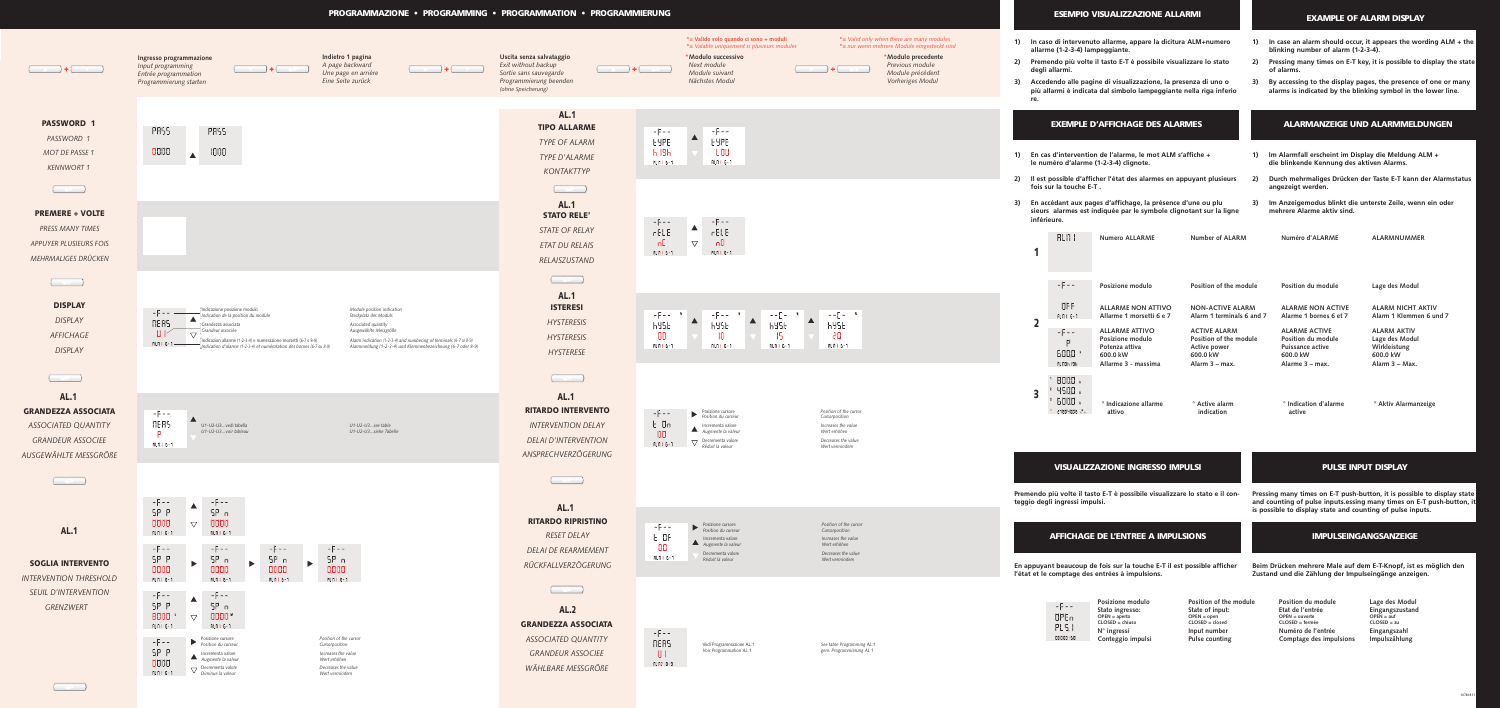

| iando ci sono + moduli<br>ement si plusieurs modules |                                                                                                        | *= Valid only when there are many modules<br>*= nur wenn mehrere Module eingesteckt sind | 1) | allarme (1-2-3-4) lampeggiante.                                                                                                      |                                        | In caso di intervenuto allarme, appare la dicitura ALM+numero                                                                     |                                                                                             | 1)         | blinking number of alarm (1-2-3-4).                                                                                             | In case an alarm should occur, it appears the wording ALM + the                                                                                  |
|------------------------------------------------------|--------------------------------------------------------------------------------------------------------|------------------------------------------------------------------------------------------|----|--------------------------------------------------------------------------------------------------------------------------------------|----------------------------------------|-----------------------------------------------------------------------------------------------------------------------------------|---------------------------------------------------------------------------------------------|------------|---------------------------------------------------------------------------------------------------------------------------------|--------------------------------------------------------------------------------------------------------------------------------------------------|
| ssivo                                                |                                                                                                        | *Modulo precedente<br>Previous module<br>Module précédent                                | 2) | Premendo più volte il tasto E-T è possibile visualizzare lo stato<br>degli allarmi.                                                  |                                        |                                                                                                                                   | 2)                                                                                          | of alarms. | Pressing many times on E-T key, it is possible to display the state                                                             |                                                                                                                                                  |
| ul                                                   |                                                                                                        | Vorheriges Modul                                                                         | 3) | Accedendo alle pagine di visualizzazione, la presenza di uno o<br>più allarmi è indicata dal simbolo lampeggiante nella riga inferio |                                        |                                                                                                                                   | 3)                                                                                          |            | By accessing to the display pages, the presence of one or many<br>alarms is indicated by the blinking symbol in the lower line. |                                                                                                                                                  |
|                                                      |                                                                                                        |                                                                                          |    | re.                                                                                                                                  |                                        |                                                                                                                                   |                                                                                             |            |                                                                                                                                 |                                                                                                                                                  |
|                                                      |                                                                                                        |                                                                                          |    |                                                                                                                                      |                                        | <b>EXEMPLE D'AFFICHAGE DES ALARMES</b>                                                                                            |                                                                                             |            |                                                                                                                                 | <b>ALARMANZEIGE UND ALARMMELDUNGEN</b>                                                                                                           |
|                                                      |                                                                                                        |                                                                                          | 1) |                                                                                                                                      |                                        | En cas d'intervention de l'alarme, le mot ALM s'affiche +<br>le numéro d'alarme (1-2-3-4) clignote.                               |                                                                                             | 1)         | Im Alarmfall erscheint im Display die Meldung ALM +<br>die blinkende Kennung des aktiven Alarms.                                |                                                                                                                                                  |
|                                                      |                                                                                                        |                                                                                          | 2) | fois sur la touche E-T.                                                                                                              |                                        | Il est possible d'afficher l'état des alarmes en appuyant plusieurs                                                               |                                                                                             | 2)         | angezeigt werden.                                                                                                               | Durch mehrmaliges Drücken der Taste E-T kann der Alarmstatus                                                                                     |
|                                                      |                                                                                                        |                                                                                          | 3) | inférieure.                                                                                                                          |                                        | En accédant aux pages d'affichage, la présence d'une ou plu<br>sieurs alarmes est indiquée par le symbole clignotant sur la ligne |                                                                                             | 3)         | mehrere Alarme aktiv sind.                                                                                                      | Im Anzeigemodus blinkt die unterste Zeile, wenn ein oder                                                                                         |
|                                                      |                                                                                                        |                                                                                          |    | 1                                                                                                                                    | RLI                                    | <b>Numero ALLARME</b>                                                                                                             | <b>Number of ALARM</b>                                                                      |            | Numéro d'ALARME                                                                                                                 | ALARMNUMMER                                                                                                                                      |
|                                                      |                                                                                                        |                                                                                          |    | $-5 -$                                                                                                                               |                                        | Posizione modulo                                                                                                                  | Position of the module                                                                      |            | Position du module                                                                                                              | Lage des Modul                                                                                                                                   |
| $- - 2 -$                                            | $-$ - $[-$<br>$\%$<br><b>h</b> 956                                                                     |                                                                                          |    | $\overline{\mathbf{2}}$                                                                                                              | <b>DFF</b><br>$RLI16-7$                | <b>ALLARME NON ATTIVO</b><br>Allarme 1 morsetti 6 e 7                                                                             | <b>NON-ACTIVE ALARM</b><br>Alarm 1 terminals 6 and 7                                        |            | <b>ALARME NON ACTIVE</b><br>Alarme 1 bornes 6 et 7                                                                              | <b>ALARM NICHT AKTIV</b><br>Alarm 1 Klemmen 6 und 7                                                                                              |
| <b>h</b> 95E<br>15<br><b>RLN1 6-1</b>                | 20<br>$ALA16-1$                                                                                        |                                                                                          |    |                                                                                                                                      | $-5 - -$<br>P<br>6000<br>RLN3h ISh     | <b>ALLARME ATTIVO</b><br>Posizione modulo<br>Potenza attiva<br>600.0 kW<br>Allarme 3 - massima                                    | <b>ACTIVE ALARM</b><br>Position of the module<br>Active power<br>600.0 kW<br>Alarm 3 - max. |            | <b>ALARME ACTIVE</b><br>Position du module<br>Puissance active<br>600.0 kW<br>Alarme 3 - max.                                   | <b>ALARM AKTIV</b><br>Lage des Modul<br>Wirkleistung<br>600.0 kW<br>Alarm 3 - Max.                                                               |
| ore<br>rseur                                         | Position of the cursor<br>Cursorposition                                                               |                                                                                          |    | 3                                                                                                                                    | 8000 A<br>4500<br>6000 A<br>27804006 N | <sup>o</sup> Indicazione allarme<br>attivo                                                                                        | ° Active alarm<br>indication                                                                |            | ° Indication d'alarme<br>active                                                                                                 | ° Aktiv Alarmanzeige                                                                                                                             |
| lore<br>raleur<br>alore                              | Increases the value<br>Wert erhöhen<br>Decreases the value<br>Wert vermindern                          |                                                                                          |    |                                                                                                                                      |                                        |                                                                                                                                   |                                                                                             |            |                                                                                                                                 |                                                                                                                                                  |
|                                                      |                                                                                                        |                                                                                          |    |                                                                                                                                      |                                        | <b>VISUALIZZAZIONE INGRESSO IMPULSI</b>                                                                                           |                                                                                             |            |                                                                                                                                 | <b>PULSE INPUT DISPLAY</b>                                                                                                                       |
|                                                      |                                                                                                        |                                                                                          |    | teggio degli ingressi impulsi.                                                                                                       |                                        | Premendo più volte il tasto E-T è possibile visualizzare lo stato e il con-                                                       |                                                                                             |            | is possible to display state and counting of pulse inputs.                                                                      | Pressing many times on E-T push-button, it is possible to display state<br>and counting of pulse inputs essing many times on E-T push-button, it |
| ore<br>ırseur<br>alore<br>valeur<br>alore            | Position of the cursor<br>Cursorposition<br>Increases the value<br>Wert erhöhen<br>Decreases the value |                                                                                          |    |                                                                                                                                      |                                        | <b>AFFICHAGE DE L'ENTREE A IMPULSIONS</b>                                                                                         |                                                                                             |            |                                                                                                                                 | <b>IMPULSEINGANGSANZEIGE</b>                                                                                                                     |
| ur                                                   | Wert vermindern                                                                                        |                                                                                          |    |                                                                                                                                      |                                        | En appuyant beaucoup de fois sur la touche E-T il est possible afficher<br>l'état et le comptage des entrées à impulsions.        |                                                                                             |            | Zustand und die Zählung der Impulseingänge anzeigen.                                                                            | Beim Drücken mehrere Male auf dem E-T-Knopf, ist es möglich den                                                                                  |

**ESEMPIO VISUALIZZAZIONE ALLARMI** 

Lage des Modul Eingangszustand  $OPEN = auf$  $CIO$ SED =  $7II$ Eingangszahl Impulszählung

Position of the module

State of input:

 $OPEN = open$ 

 $CLOSED = closed$ 

Input number

Pulse counting

Position du module

Numéro de l'entrée

Comptage des impulsions

Etat de l'entrée

 $OPEN = \text{ouverte}$ 

 $CIO$ SED = fermée

Posizione modulo

Conteggio impulsi

Stato ingresso:

 $OPEN = a<sub>pert</sub>$ 

N° ingressi

 $CLOSED = chiuso$ 

 $-F - -$ 

 $DPEn$ 

 $PL51$ 

00000 ISB

**EXAMPLE OF ALARM DISPLAY**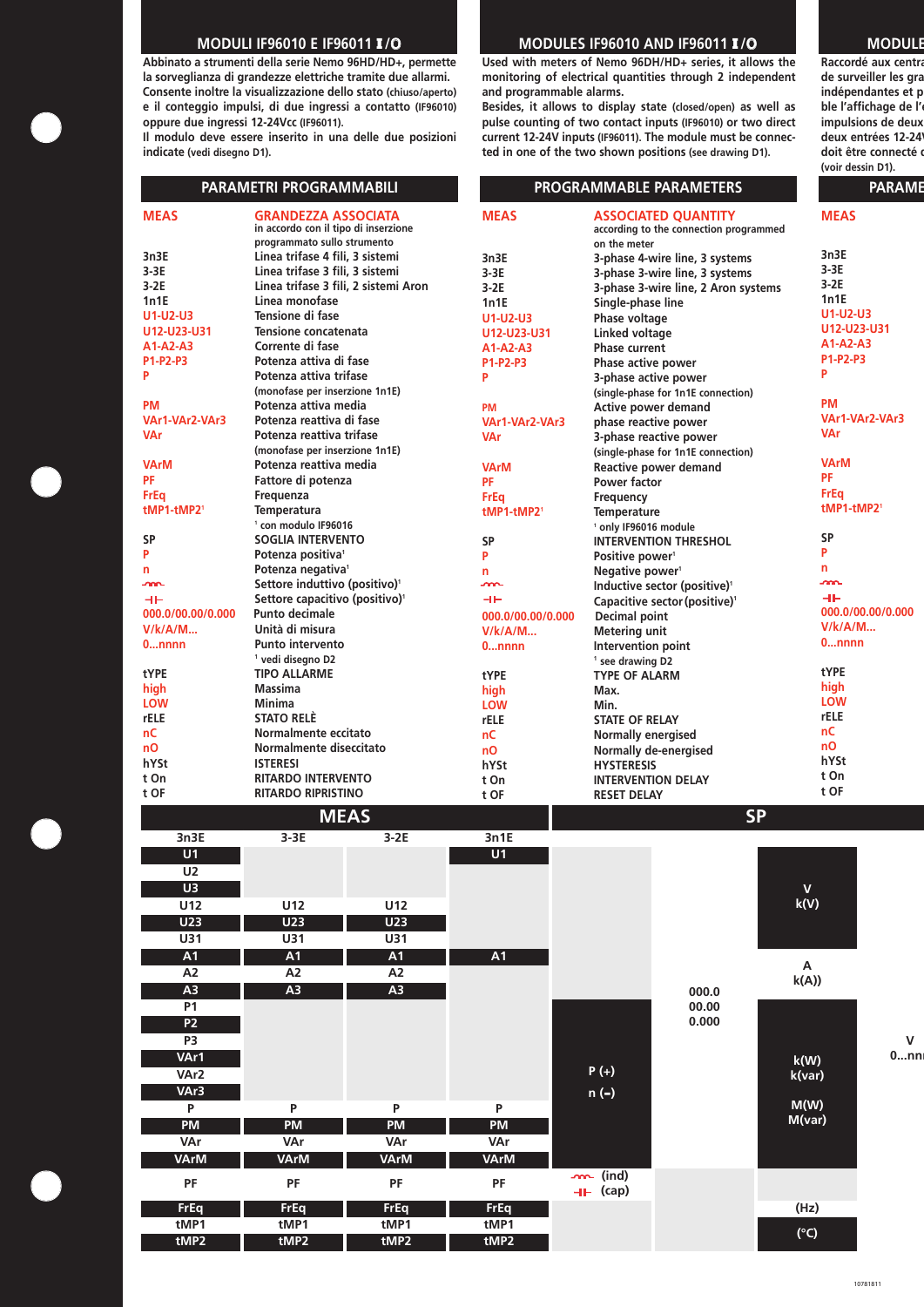**Abbinato a strumenti della serie Nemo 96HD/HD+, permette la sorveglianza di grandezze elettriche tramite due allarmi. Consente inoltre la visualizzazione dello stato (chiuso/aperto) e il conteggio impulsi, di due ingressi a contatto (IF96010) oppure due ingressi 12-24Vcc (IF96011).**

**Il modulo deve essere inserito in una delle due posizioni indicate (vedi disegno D1).**

> **3n3E 3-3E 3-2E 3n1E U1 U1**

**A1 A1 A1 A1**

**P P P P PM PM PM PM VAr VAr VAr VAr VArM VArM VArM VArM**

**U12 U12 U12 U23 U23 U23 U31 U31 U31**

**A3 A3 A3**

# **MODULI IF96010 E IF96011 I /O MODULES IF96010 AND IF96011 I /O MODULES IF96010 ET IF96011 I /O**

**Used with meters of Nemo 96DH/HD+ series, it allows the monitoring of electrical quantities through 2 independent and programmable alarms.**

**Besides, it allows to display state (closed/open) as well as pulse counting of two contact inputs (IF96010) or two direct current 12-24V inputs (IF96011). The module must be connected in one of the two shown positions (see drawing D1).**

**Raccordé aux central** de surveiller les gra indépendantes et p **ble l'affichage de l'**  $impulsions de deu x$ deux entrées 12-24 **doit être connecté (voir dessin D1).**

|                   | <b>PARAMETRI PROGRAMMABILI</b>                                                                    |                   | <b>PROGRAMMABLE PARAMETERS</b>                                                       |                   |  |
|-------------------|---------------------------------------------------------------------------------------------------|-------------------|--------------------------------------------------------------------------------------|-------------------|--|
| <b>MEAS</b>       | <b>GRANDEZZA ASSOCIATA</b><br>in accordo con il tipo di inserzione<br>programmato sullo strumento | <b>MEAS</b>       | <b>ASSOCIATED OUANTITY</b><br>according to the connection programmed<br>on the meter | <b>MEAS</b>       |  |
| 3n3E              | Linea trifase 4 fili, 3 sistemi                                                                   | 3n3E              | 3-phase 4-wire line, 3 systems                                                       | 3n3E              |  |
| $3-3E$            | Linea trifase 3 fili, 3 sistemi                                                                   | $3-3E$            | 3-phase 3-wire line, 3 systems                                                       | $3-3E$            |  |
| $3-2E$            | Linea trifase 3 fili, 2 sistemi Aron                                                              | $3-2E$            |                                                                                      | 3-2E              |  |
| 1n1E              | Linea monofase                                                                                    |                   | 3-phase 3-wire line, 2 Aron systems                                                  | 1n1E              |  |
| U1-U2-U3          | Tensione di fase                                                                                  | 1n1E              | Single-phase line                                                                    | <b>U1-U2-U3</b>   |  |
| U12-U23-U31       | Tensione concatenata                                                                              | U1-U2-U3          | Phase voltage                                                                        | U12-U23-U31       |  |
| A1-A2-A3          | Corrente di fase                                                                                  | U12-U23-U31       | Linked voltage                                                                       | A1-A2-A3          |  |
|                   |                                                                                                   | A1-A2-A3          | <b>Phase current</b>                                                                 | P1-P2-P3          |  |
| P1-P2-P3          | Potenza attiva di fase                                                                            | P1-P2-P3          | Phase active power                                                                   | P                 |  |
| P                 | Potenza attiva trifase                                                                            | P                 | 3-phase active power                                                                 |                   |  |
|                   | (monofase per inserzione 1n1E)                                                                    |                   | (single-phase for 1n1E connection)                                                   |                   |  |
| <b>PM</b>         | Potenza attiva media                                                                              | <b>PM</b>         | <b>Active power demand</b>                                                           | <b>PM</b>         |  |
| VAr1-VAr2-VAr3    | Potenza reattiva di fase                                                                          | VAr1-VAr2-VAr3    | phase reactive power                                                                 | VAr1-VAr2-VAr3    |  |
| VAr               | Potenza reattiva trifase                                                                          | <b>VAr</b>        | 3-phase reactive power                                                               | <b>VAr</b>        |  |
|                   | (monofase per inserzione 1n1E)                                                                    |                   | (single-phase for 1n1E connection)                                                   |                   |  |
| <b>VArM</b>       | Potenza reattiva media                                                                            | <b>VArM</b>       | <b>Reactive power demand</b>                                                         | <b>VArM</b>       |  |
| PF.               | Fattore di potenza                                                                                | <b>PF</b>         | <b>Power factor</b>                                                                  | <b>PF</b>         |  |
| <b>FrEq</b>       | Frequenza                                                                                         | <b>FrEq</b>       | Frequency                                                                            | <b>FrEq</b>       |  |
| tMP1-tMP21        | <b>Temperatura</b>                                                                                | tMP1-tMP21        | Temperature                                                                          | tMP1-tMP21        |  |
|                   | <sup>1</sup> con modulo IF96016                                                                   |                   | <sup>1</sup> only IF96016 module                                                     |                   |  |
| <b>SP</b>         | <b>SOGLIA INTERVENTO</b>                                                                          | <b>SP</b>         | <b>INTERVENTION THRESHOL</b>                                                         | <b>SP</b>         |  |
| P                 | Potenza positiva <sup>1</sup>                                                                     | P                 | Positive power <sup>1</sup>                                                          | P                 |  |
| n                 | Potenza negativa <sup>1</sup>                                                                     | n                 | Negative power <sup>1</sup>                                                          | n                 |  |
| ൷                 | Settore induttivo (positivo) <sup>1</sup>                                                         | ൷                 | Inductive sector (positive) <sup>1</sup>                                             | nn-               |  |
| ᆊᄃ                | Settore capacitivo (positivo) <sup>1</sup>                                                        | ᆊ                 | Capacitive sector (positive) <sup>1</sup>                                            | ᆌᄃ                |  |
| 000.0/00.00/0.000 | <b>Punto decimale</b>                                                                             | 000.0/00.00/0.000 | <b>Decimal point</b>                                                                 | 000.0/00.00/0.000 |  |
| V/k/A/M           | Unità di misura                                                                                   | V/k/A/M           | <b>Metering unit</b>                                                                 | V/k/A/M           |  |
| 0nnnn             | <b>Punto intervento</b>                                                                           | $0$ nnnn          | Intervention point                                                                   | $0$ nnnn          |  |
|                   | <sup>1</sup> vedi disegno D2                                                                      |                   | <sup>1</sup> see drawing D2                                                          |                   |  |
| tYPE              | <b>TIPO ALLARME</b>                                                                               | <b>tYPE</b>       | <b>TYPE OF ALARM</b>                                                                 | tYPE              |  |
| high              | <b>Massima</b>                                                                                    | high              | Max.                                                                                 | high              |  |
| LOW               | Minima                                                                                            |                   |                                                                                      | LOW               |  |
| <b>rELE</b>       | <b>STATO RELÈ</b>                                                                                 | <b>LOW</b>        | Min.                                                                                 | rELE              |  |
| nС                | Normalmente eccitato                                                                              | rELE              | <b>STATE OF RELAY</b>                                                                | nC                |  |
|                   |                                                                                                   | nC                | <b>Normally energised</b>                                                            | nO                |  |
| nO                | Normalmente diseccitato                                                                           | nO                | Normally de-energised                                                                | hYSt              |  |
| hYSt              | <b>ISTERESI</b>                                                                                   | hYSt              | <b>HYSTERESIS</b>                                                                    | t On              |  |
| t On              | <b>RITARDO INTERVENTO</b>                                                                         | t On              | <b>INTERVENTION DELAY</b>                                                            |                   |  |
| t OF              | <b>RITARDO RIPRISTINO</b>                                                                         | t OF              | <b>RESET DELAY</b>                                                                   | t OF              |  |







**U2 U3**

**P1**

**P2 P3 VAr1 VAr2 VAr3**

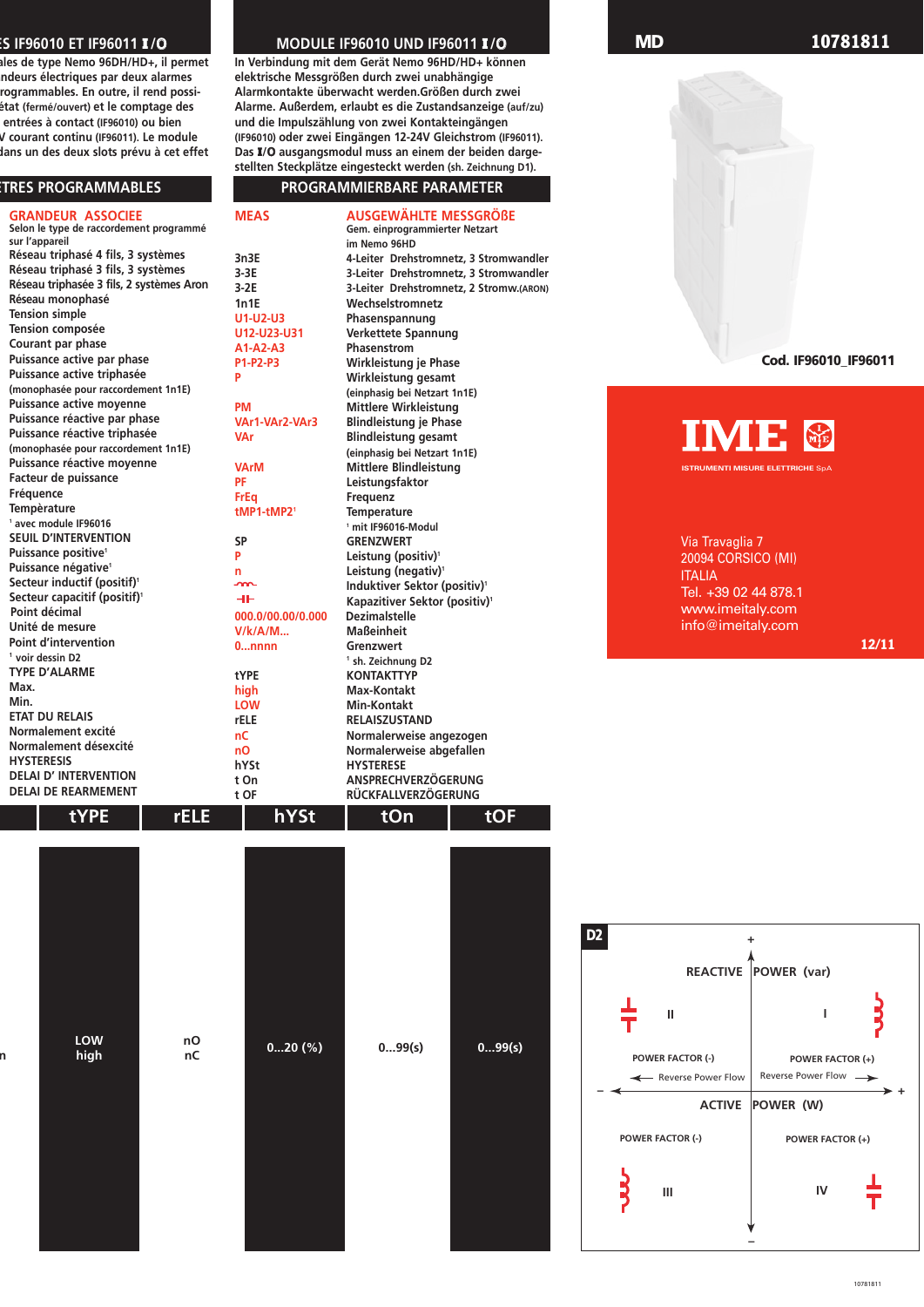**Raccordé aux centrales de type Nemo 96DH/HD+, il permet de surveiller les grandeurs électriques par deux alarmes**  rogrammables. En outre, il rend possiétat (fermé/ouvert) et le comptage des **impulsions de deux entrées à contact (IF96010) ou bien deux entrées 12-24V courant continu (IF96011). Le module** dans un des deux slots prévu à cet effet

**0...nnn**

| <b>GRANDEUR ASSOCIEE</b><br>Selon le type de raccordement programmé<br>sur l'appareil | <b>MEAS</b>       | <b>AUSGEW</b><br>Gem. einpro<br>im Nemo 96 |
|---------------------------------------------------------------------------------------|-------------------|--------------------------------------------|
| Réseau triphasé 4 fils, 3 systèmes                                                    | 3n3E              | 4-Leiter Dr                                |
| Réseau triphasé 3 fils, 3 systèmes                                                    | $3-3E$            | 3-Leiter Dr                                |
| Réseau triphasée 3 fils, 2 systèmes Aron                                              | $3-2E$            | 3-Leiter Dr                                |
| Réseau monophasé                                                                      | 1n1E              | Wechselstı                                 |
| <b>Tension simple</b>                                                                 | U1-U2-U3          | Phasenspa                                  |
| Tension composée                                                                      | U12-U23-U31       | <b>Verkettete</b>                          |
| Courant par phase                                                                     | $A1-A2-A3$        | Phasenstro                                 |
| Puissance active par phase                                                            | P1-P2-P3          | Wirkleistur                                |
| Puissance active triphasée                                                            | P                 | Wirkleistur                                |
| (monophasée pour raccordement 1n1E)                                                   |                   | (einphasig b                               |
| Puissance active moyenne                                                              | <b>PM</b>         | <b>Mittlere W</b>                          |
| Puissance réactive par phase                                                          | VAr1-VAr2-VAr3    | <b>Blindleistu</b>                         |
| Puissance réactive triphasée                                                          | VAr               | <b>Blindleistu</b>                         |
| (monophasée pour raccordement 1n1E)                                                   |                   | (einphasig b                               |
| Puissance réactive moyenne                                                            | <b>VArM</b>       | <b>Mittlere Bl</b>                         |
| Facteur de puissance                                                                  | PF                | Leistungsf                                 |
| Fréquence                                                                             | <b>FrEq</b>       | Frequenz                                   |
| <b>Tempèrature</b>                                                                    | tMP1-tMP21        | <b>Temperatu</b>                           |
| <sup>1</sup> avec module IF96016                                                      |                   | <sup>1</sup> mit IF9601                    |
| <b>SEUIL D'INTERVENTION</b>                                                           | <b>SP</b>         | <b>GRENZWEI</b>                            |
| Puissance positive <sup>1</sup>                                                       | P                 | Leistung (p                                |
| Puissance négative <sup>1</sup>                                                       | n                 | Leistung (r                                |
| Secteur inductif (positif) <sup>1</sup>                                               | m.                | <b>Induktiver</b>                          |
| Secteur capacitif (positif) <sup>1</sup>                                              | ᆊᄃ                | <b>Kapazitive</b>                          |
| Point décimal                                                                         | 000.0/00.00/0.000 | <b>Dezimalste</b>                          |
| Unité de mesure                                                                       | V/k/A/M           | Maßeinhei                                  |
| <b>Point d'intervention</b>                                                           | $0$ nnnn          | Grenzwert                                  |
| <sup>1</sup> voir dessin D2                                                           |                   | <sup>1</sup> sh. Zeichnu                   |
| <b>TYPE D'ALARME</b>                                                                  | tYPE              | <b>KONTAKTT</b>                            |
| Max.                                                                                  | high              | Max-Konta                                  |
| Min.                                                                                  | LOW               | Min-Konta                                  |
| <b>ETAT DU RELAIS</b>                                                                 | <b>rELE</b>       | <b>RELAISZUS</b>                           |
| Normalement excité                                                                    | пC                | Normalerv                                  |
| Normalement désexcité                                                                 | nO                | <b>Normalerv</b>                           |
| <b>HYSTERESIS</b>                                                                     | hYSt              | <b>HYSTERES</b>                            |
| <b>DELAI D' INTERVENTION</b>                                                          | t On              | <b>ANSPRECH</b>                            |
| <b>DELAI DE REARMEMENT</b>                                                            | t OF              | <b>RÜCKFALLY</b>                           |
| $\cdots$                                                                              |                   | . .                                        |

**LOW high nO 0...20 (%) 0...99(s) 0...99(s)** 

# **D2 + REACTIVE POWER (var) II I POWER FACTOR (-) POWER FACTOR (+)**<br>Reverse Power Flow - Reverse Power Flow ے **– + ACTIVE POWER (W) POWER FACTOR (-) POWER FACTOR (+)** 3 **III IV**

**–**

# **MODULES IF96010 ET IF96011 I /O MODULE IF96010 UND IF96011 I /O**

**In Verbindung mit dem Gerät Nemo 96HD/HD+ können elektrische Messgrößen durch zwei unabhängige Alarmkontakte überwacht werden.Größen durch zwei Alarme. Außerdem, erlaubt es die Zustandsanzeige (auf/zu) und die Impulszählung von zwei Kontakteingängen (IF96010) oder zwei Eingängen 12-24V Gleichstrom (IF96011). Das I/O ausgangsmodul muss an einem der beiden dargestellten Steckplätze eingesteckt werden (sh. Zeichnung D1).**

# **PARAMETRES PROGRAMMABLES PROGRAMMIERBARE PARAMETER**

| sur l'appareil | <b>GRANDEUR ASSOCIEE</b><br>Selon le type de raccordement programmé<br>Réseau triphasé 4 fils, 3 systèmes |             | <b>MEAS</b>       | <b>AUSGEWÄHLTE MESSGRÖßE</b><br>Gem. einprogrammierter Netzart<br>im Nemo 96HD |     |
|----------------|-----------------------------------------------------------------------------------------------------------|-------------|-------------------|--------------------------------------------------------------------------------|-----|
|                | Réseau triphasé 3 fils, 3 systèmes                                                                        |             | 3n3E              | 4-Leiter Drehstromnetz, 3 Stromwandler                                         |     |
|                | Réseau triphasée 3 fils, 2 systèmes Aron                                                                  |             | 3-3E              | 3-Leiter Drehstromnetz, 3 Stromwandler                                         |     |
|                | Réseau monophasé                                                                                          |             | $3-2E$            | 3-Leiter Drehstromnetz, 2 Stromw.(ARON)                                        |     |
|                | <b>Tension simple</b>                                                                                     |             | 1n1E              | Wechselstromnetz                                                               |     |
|                | <b>Tension composée</b>                                                                                   |             | U1-U2-U3          | Phasenspannung                                                                 |     |
|                | Courant par phase                                                                                         |             | U12-U23-U31       | Verkettete Spannung                                                            |     |
|                | Puissance active par phase                                                                                |             | A1-A2-A3          | Phasenstrom                                                                    |     |
|                | Puissance active triphasée                                                                                |             | P1-P2-P3          | Wirkleistung je Phase                                                          |     |
|                | (monophasée pour raccordement 1n1E)                                                                       |             | P                 | Wirkleistung gesamt                                                            |     |
|                | Puissance active moyenne                                                                                  |             |                   | (einphasig bei Netzart 1n1E)                                                   |     |
|                | Puissance réactive par phase                                                                              |             | <b>PM</b>         | <b>Mittlere Wirkleistung</b>                                                   |     |
|                | Puissance réactive triphasée                                                                              |             | VAr1-VAr2-VAr3    | <b>Blindleistung je Phase</b>                                                  |     |
|                | (monophasée pour raccordement 1n1E)                                                                       |             | VAr               | <b>Blindleistung gesamt</b>                                                    |     |
|                | Puissance réactive moyenne                                                                                |             |                   | (einphasig bei Netzart 1n1E)                                                   |     |
|                | Facteur de puissance                                                                                      |             | <b>VArM</b>       | <b>Mittlere Blindleistung</b>                                                  |     |
| Fréquence      |                                                                                                           |             | PF                | Leistungsfaktor                                                                |     |
|                |                                                                                                           |             | <b>FrEq</b>       | Frequenz                                                                       |     |
|                | Tempèrature                                                                                               |             | tMP1-tMP21        | <b>Temperature</b>                                                             |     |
|                | <sup>1</sup> avec module IF96016                                                                          |             |                   | <sup>1</sup> mit IF96016-Modul                                                 |     |
|                | <b>SEUIL D'INTERVENTION</b>                                                                               |             | SP                | <b>GRENZWERT</b>                                                               |     |
|                | Puissance positive <sup>1</sup>                                                                           |             | P                 | Leistung (positiv) <sup>1</sup>                                                |     |
|                | Puissance négative <sup>1</sup>                                                                           |             | n                 | Leistung (negativ) <sup>1</sup>                                                |     |
|                | Secteur inductif (positif) <sup>1</sup>                                                                   |             | m.                | Induktiver Sektor (positiv) <sup>1</sup>                                       |     |
|                | Secteur capacitif (positif) <sup>1</sup>                                                                  |             | ᆊ                 | Kapazitiver Sektor (positiv) <sup>1</sup>                                      |     |
|                | Point décimal                                                                                             |             | 000.0/00.00/0.000 | <b>Dezimalstelle</b>                                                           |     |
|                | Unité de mesure                                                                                           |             | V/k/A/M           | Maßeinheit                                                                     |     |
|                | <b>Point d'intervention</b>                                                                               |             | $0$ nnnn          | Grenzwert                                                                      |     |
|                | <sup>1</sup> voir dessin D2                                                                               |             |                   | <sup>1</sup> sh. Zeichnung D2                                                  |     |
|                | <b>TYPE D'ALARME</b>                                                                                      |             | <b>tYPE</b>       | KONTAKTTYP                                                                     |     |
| Max.           |                                                                                                           |             | high              | Max-Kontakt                                                                    |     |
| Min.           |                                                                                                           |             | <b>LOW</b>        | Min-Kontakt                                                                    |     |
|                | <b>ETAT DU RELAIS</b>                                                                                     |             | rELE              | <b>RELAISZUSTAND</b>                                                           |     |
|                | Normalement excité                                                                                        |             | nС                | Normalerweise angezogen                                                        |     |
|                | Normalement désexcité                                                                                     |             | nO                | Normalerweise abgefallen                                                       |     |
|                | <b>HYSTERESIS</b>                                                                                         |             | hYSt              | <b>HYSTERESE</b>                                                               |     |
|                | <b>DELAI D' INTERVENTION</b>                                                                              |             | t On              | ANSPRECHVERZÖGERUNG                                                            |     |
|                | <b>DELAI DE REARMEMENT</b>                                                                                |             | t OF              | <b>RÜCKFALLVERZÖGERUNG</b>                                                     |     |
|                | tYPE                                                                                                      | <b>rELE</b> | hYSt              | tOn                                                                            | tOF |

**MD 10781811**

**Cod. IF96010\_IF96011**



Via Travaglia 7 20094 CORSICO (MI) ITALIA Tel. +39 02 44 878.1 www.imeitaly.com info@imeitaly.com

**12/11**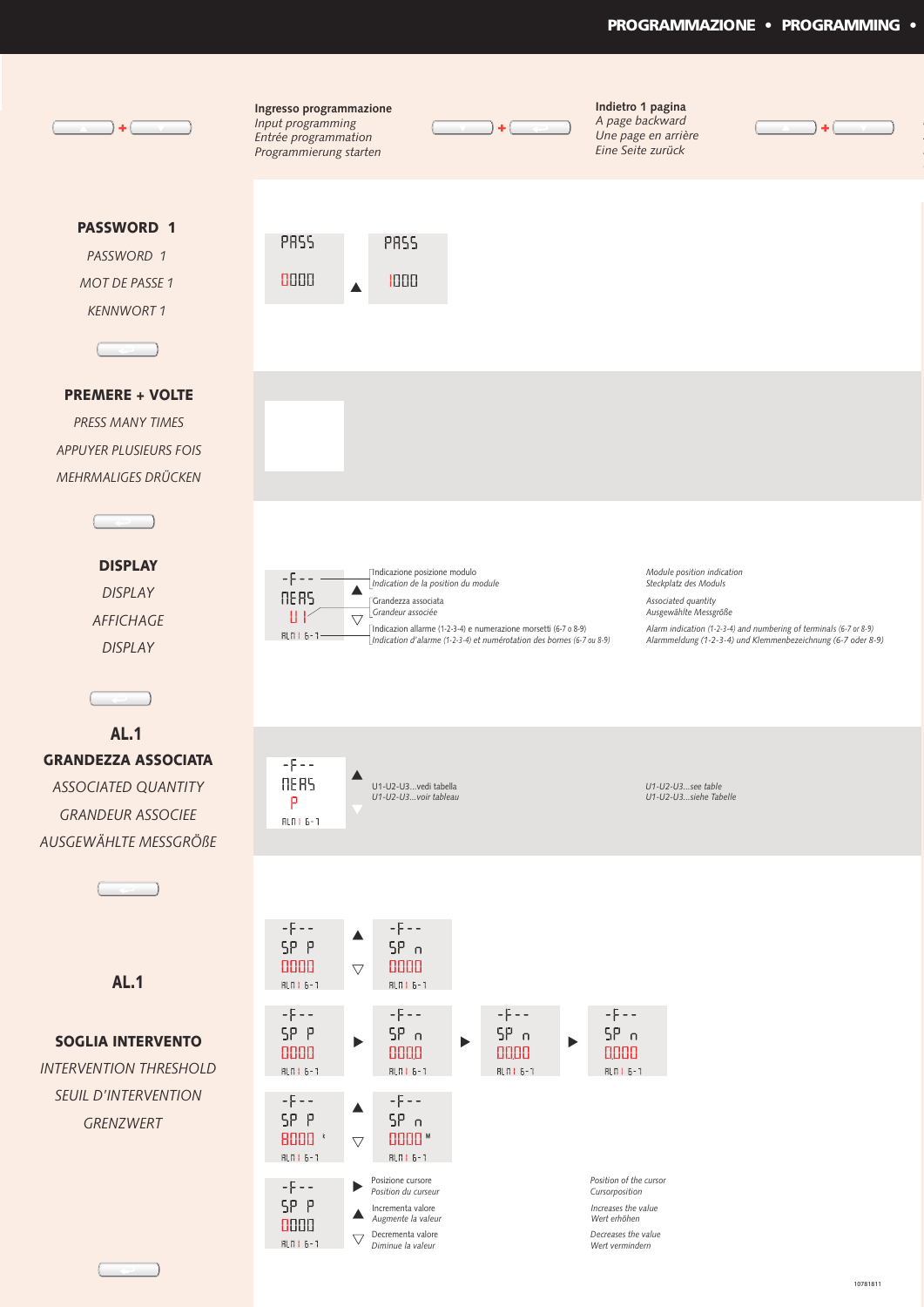

Posizione cursore

Position du curseur

Incrementa valore

Decrementa valore

Diminue la valeur

 $\overline{\nabla}$ 

Augmente la valeur

 $-5 -$ 

SP P

0000

 $R:0.1,6-7$ 

Position of the cursor

Increases the value

Decreases the value

Wert vermindern

Cursorposition

Wert erhöhen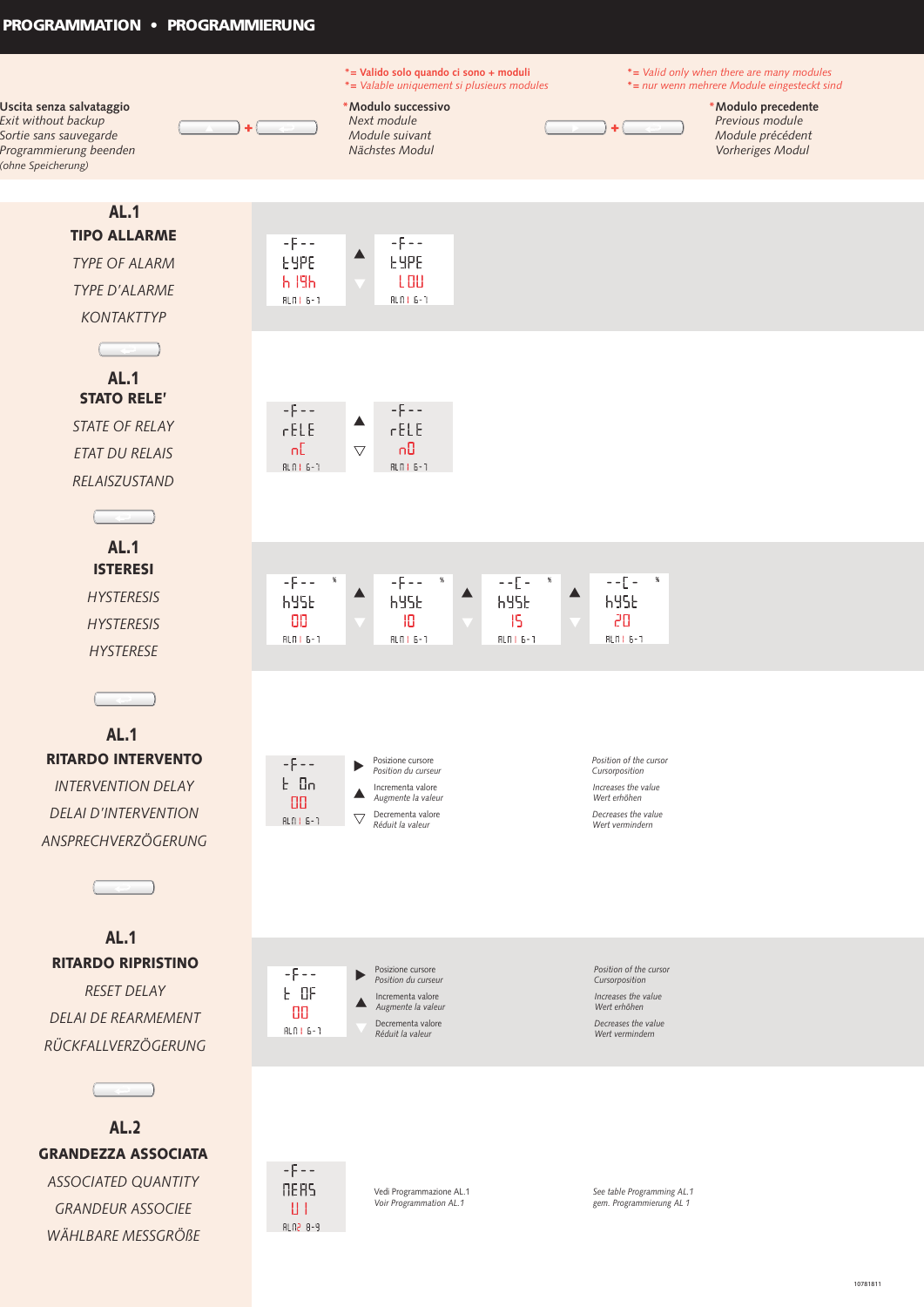



÷

Next module Module suivant Nächstes Modul

 $-F - -$ 

ENPE

LOU

\*= Valido solo quando ci sono + moduli

\*= Valid only when there are many modules \*= nur wenn mehrere Module eingesteckt sind

 $+$  (



**AL.1 TIPO ALLARME**  $-F - -$ TYPE OF ALARM **FAPE** h 19h **TYPE D'ALARME**  $RLR16-7$ **KONTAKTTYP AL.1 STATO RELE'**  $-F - -$ **STATE OF RELAY**  $rELE$ inE. **ETAT DU RELAIS**  $RLB + 5-7$ RELAISZUSTAND **AL.1 ISTERESI**  $-F - \%$ **HYSTERESIS h**95E 88 **HYSTERESIS**  $RLR + 6-7$ **HYSTERESE AL.1 RITARDO INTERVENTO**  $-5 E$  On **INTERVENTION DELAY** 88 **DELAI D'INTERVENTION**  $RLR16-7$ ANSPRECHVERZÖGERUNG **AL.1 RITARDO RIPRISTINO**  $-5 - -$ **RESET DELAY** E OF 88 **DELAI DE REARMEMENT**  $RLB + B - 7$ RÜCKFALLVERZÖGERUNG



**ASSOCIATED OUANTITY GRANDEUR ASSOCIEE** WÄHLBARE MESSGRÖßE









Position of the cursor Cursorposition Increases the value Wert erhöhen Decreases the value Wert vermindern

Posizione cursore<br>Position du curseur Incrementa valore<br>Augmente la valeur Decrementa valore<br>Réduit la valeur

Position of the cursor<br>Cursorposition Increases the value<br>Wert erhöhen Decreases the value Wert vermindern



Vedi Programmazione AL.1<br>Voir Programmation AL.1

See table Programming AL.1<br>gem. Programmierung AL 1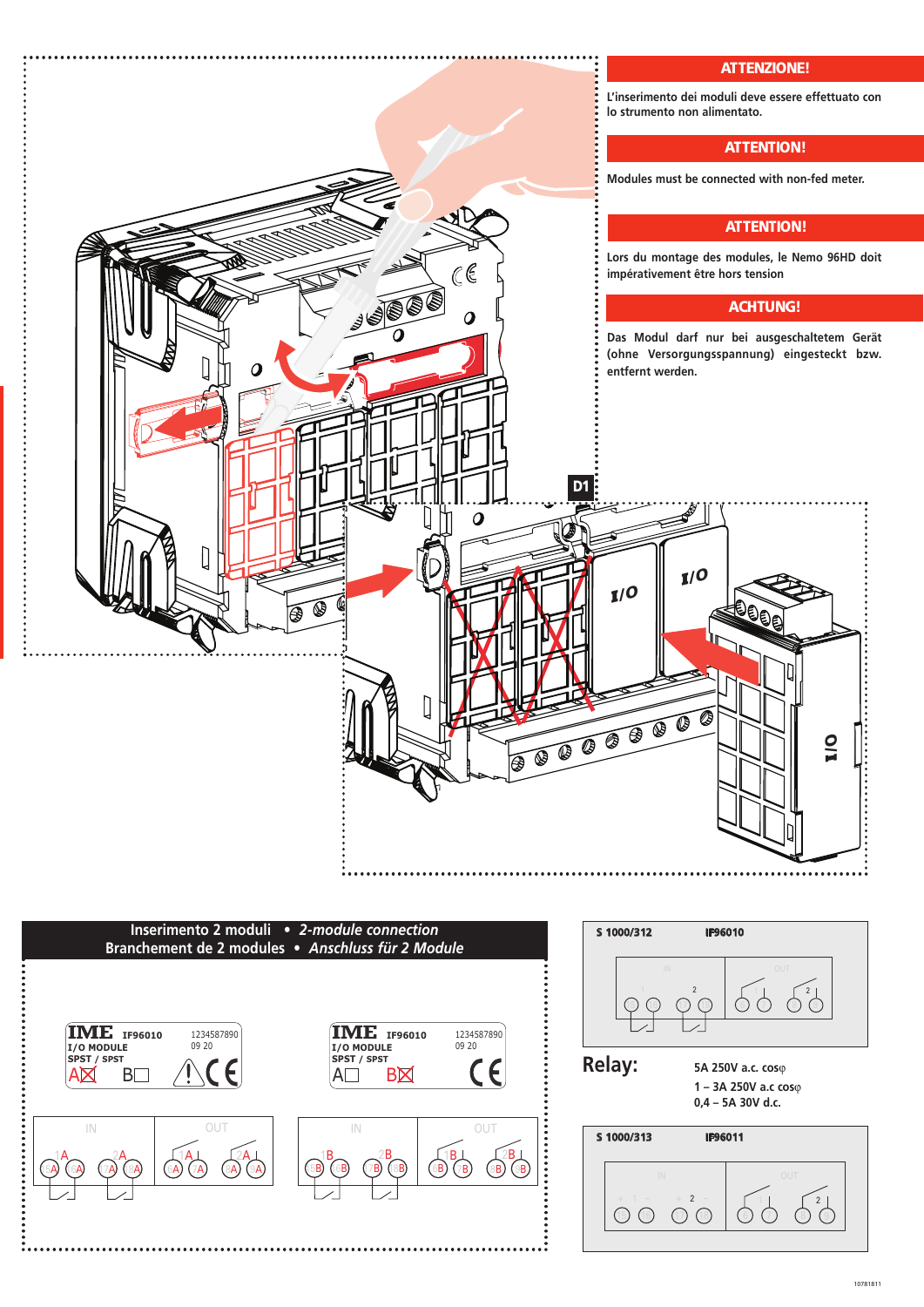# **ATTENZIONE!**



## **ATTENTION!**

**Modules must be connected with non-fed meter.**

# **ATTENTION!**

**(ohne Versorgungsspannung) eingesteckt bzw.**





| S 1000/312                                                                                | <b>IF96010</b> |                       |  |  |  |
|-------------------------------------------------------------------------------------------|----------------|-----------------------|--|--|--|
| IN                                                                                        | $\overline{2}$ | OUT<br>$\overline{c}$ |  |  |  |
| <b>Relay:</b><br>5A 250V a.c. coso<br>1 – 3A 250V a.c $cos\varphi$<br>$0.4 - 5A 30V d.c.$ |                |                       |  |  |  |
| S 1000/313                                                                                | <b>IF96011</b> |                       |  |  |  |
| IN<br>÷                                                                                   | $\overline{2}$ | OUT<br>$\overline{2}$ |  |  |  |

(15) (16) (17) (18) | (6) (7) (8) (9